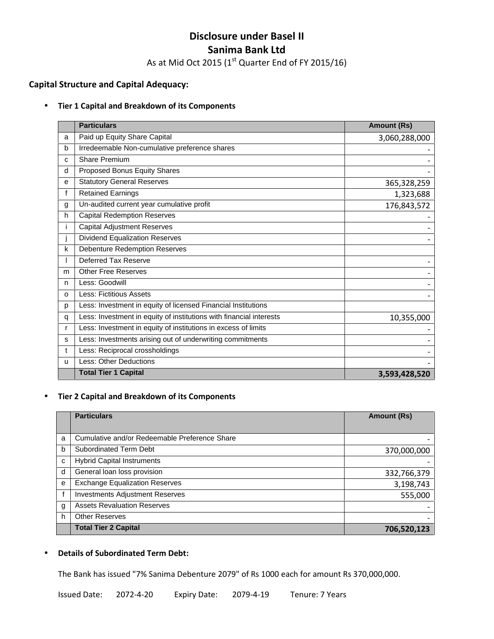# **Disclosure under Basel II Sanima Bank Ltd**

As at Mid Oct 2015 (1 $^{\rm st}$  Quarter End of FY 2015/16)

# **Capital Structure and Capital Adequacy:**

#### **Tier 1 Capital and Breakdown of its Components**

|    | <b>Particulars</b>                                                  | <b>Amount (Rs)</b> |
|----|---------------------------------------------------------------------|--------------------|
| a  | Paid up Equity Share Capital                                        | 3,060,288,000      |
| b  | Irredeemable Non-cumulative preference shares                       |                    |
| C  | <b>Share Premium</b>                                                |                    |
| d  | Proposed Bonus Equity Shares                                        |                    |
| е  | <b>Statutory General Reserves</b>                                   | 365,328,259        |
|    | <b>Retained Earnings</b>                                            | 1,323,688          |
| g  | Un-audited current year cumulative profit                           | 176,843,572        |
| h  | <b>Capital Redemption Reserves</b>                                  |                    |
| J. | <b>Capital Adjustment Reserves</b>                                  |                    |
|    | <b>Dividend Equalization Reserves</b>                               |                    |
| k  | <b>Debenture Redemption Reserves</b>                                |                    |
|    | Deferred Tax Reserve                                                |                    |
| m  | <b>Other Free Reserves</b>                                          |                    |
| n  | Less: Goodwill                                                      |                    |
| O  | <b>Less: Fictitious Assets</b>                                      |                    |
| р  | Less: Investment in equity of licensed Financial Institutions       |                    |
| q  | Less: Investment in equity of institutions with financial interests | 10,355,000         |
| r  | Less: Investment in equity of institutions in excess of limits      |                    |
| s  | Less: Investments arising out of underwriting commitments           |                    |
| t  | Less: Reciprocal crossholdings                                      |                    |
| u  | <b>Less: Other Deductions</b>                                       |                    |
|    | <b>Total Tier 1 Capital</b>                                         | 3,593,428,520      |

## **Tier 2 Capital and Breakdown of its Components**

|   | <b>Particulars</b>                            | <b>Amount (Rs)</b> |
|---|-----------------------------------------------|--------------------|
|   |                                               |                    |
| a | Cumulative and/or Redeemable Preference Share |                    |
| b | Subordinated Term Debt                        | 370,000,000        |
| c | <b>Hybrid Capital Instruments</b>             |                    |
| d | General loan loss provision                   | 332,766,379        |
| e | <b>Exchange Equalization Reserves</b>         | 3,198,743          |
|   | <b>Investments Adjustment Reserves</b>        | 555,000            |
| g | <b>Assets Revaluation Reserves</b>            |                    |
| h | <b>Other Reserves</b>                         |                    |
|   | <b>Total Tier 2 Capital</b>                   | 706,520,123        |

## **Details of Subordinated Term Debt:**

The Bank has issued "7% Sanima Debenture 2079" of Rs 1000 each for amount Rs 370,000,000.

Issued Date: 2072-4-20 Expiry Date: 2079-4-19 Tenure: 7 Years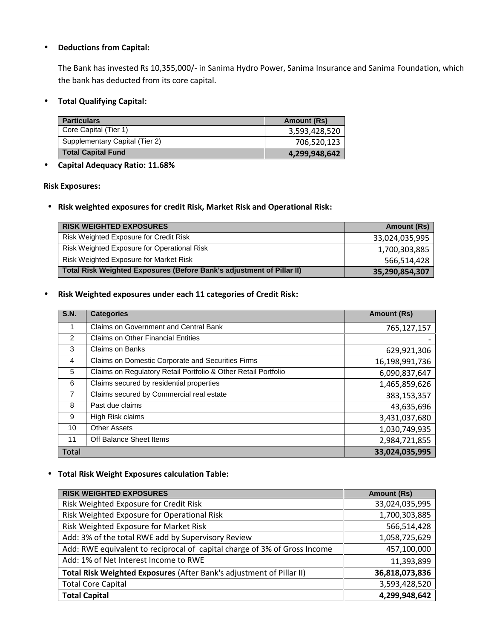#### **Deductions from Capital:**

The Bank has invested Rs 10,355,000/- in Sanima Hydro Power, Sanima Insurance and Sanima Foundation, which the bank has deducted from its core capital.

#### **Total Qualifying Capital:**

| <b>Particulars</b>             | Amount (Rs)   |
|--------------------------------|---------------|
| Core Capital (Tier 1)          | 3,593,428,520 |
| Supplementary Capital (Tier 2) | 706,520,123   |
| Total Capital Fund             | 4,299,948,642 |

# **Capital Adequacy Ratio: 11.68%**

**Risk Exposures:**

**Risk weighted exposures for credit Risk, Market Risk and Operational Risk:**

| <b>RISK WEIGHTED EXPOSURES</b>                                        | Amount (Rs)    |
|-----------------------------------------------------------------------|----------------|
| Risk Weighted Exposure for Credit Risk                                | 33,024,035,995 |
| <b>Risk Weighted Exposure for Operational Risk</b>                    | 1,700,303,885  |
| Risk Weighted Exposure for Market Risk                                | 566,514,428    |
| Total Risk Weighted Exposures (Before Bank's adjustment of Pillar II) | 35,290,854,307 |

**Risk Weighted exposures under each 11 categories of Credit Risk:**

| <b>S.N.</b>    | <b>Categories</b>                                              | <b>Amount (Rs)</b> |
|----------------|----------------------------------------------------------------|--------------------|
| 1              | Claims on Government and Central Bank                          | 765,127,157        |
| $\overline{2}$ | <b>Claims on Other Financial Entities</b>                      |                    |
| 3              | <b>Claims on Banks</b>                                         | 629,921,306        |
| 4              | Claims on Domestic Corporate and Securities Firms              | 16,198,991,736     |
| 5              | Claims on Regulatory Retail Portfolio & Other Retail Portfolio | 6,090,837,647      |
| 6              | Claims secured by residential properties                       | 1,465,859,626      |
| 7              | Claims secured by Commercial real estate                       | 383,153,357        |
| 8              | Past due claims                                                | 43,635,696         |
| 9              | High Risk claims                                               | 3,431,037,680      |
| 10             | <b>Other Assets</b>                                            | 1,030,749,935      |
| 11             | Off Balance Sheet Items                                        | 2,984,721,855      |
| Total          |                                                                | 33,024,035,995     |

**Total Risk Weight Exposures calculation Table:**

| <b>RISK WEIGHTED EXPOSURES</b>                                            | <b>Amount (Rs)</b> |
|---------------------------------------------------------------------------|--------------------|
| Risk Weighted Exposure for Credit Risk                                    | 33,024,035,995     |
| Risk Weighted Exposure for Operational Risk                               | 1,700,303,885      |
| Risk Weighted Exposure for Market Risk                                    | 566,514,428        |
| Add: 3% of the total RWE add by Supervisory Review                        | 1,058,725,629      |
| Add: RWE equivalent to reciprocal of capital charge of 3% of Gross Income | 457,100,000        |
| Add: 1% of Net Interest Income to RWE                                     | 11,393,899         |
| Total Risk Weighted Exposures (After Bank's adjustment of Pillar II)      | 36,818,073,836     |
| <b>Total Core Capital</b>                                                 | 3,593,428,520      |
| <b>Total Capital</b>                                                      | 4,299,948,642      |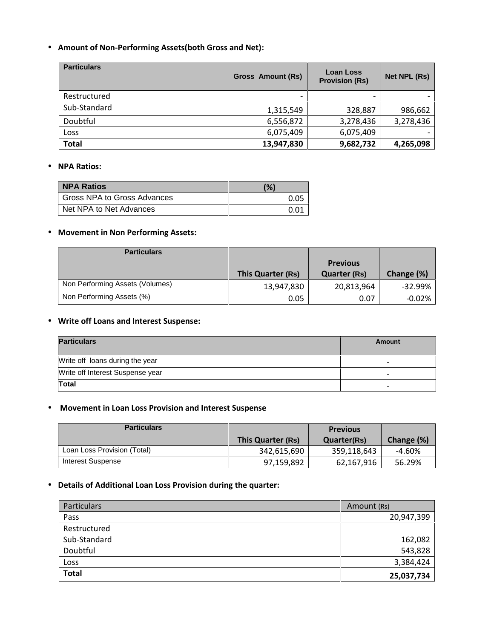# **Amount of Non-Performing Assets(both Gross and Net):**

| <b>Particulars</b> | <b>Gross Amount (Rs)</b> | <b>Loan Loss</b><br><b>Provision (Rs)</b> | Net NPL (Rs)             |
|--------------------|--------------------------|-------------------------------------------|--------------------------|
| Restructured       | $\overline{\phantom{0}}$ | $\overline{\phantom{0}}$                  | $\overline{\phantom{0}}$ |
| Sub-Standard       | 1,315,549                | 328,887                                   | 986,662                  |
| Doubtful           | 6,556,872                | 3,278,436                                 | 3,278,436                |
| Loss               | 6,075,409                | 6,075,409                                 | $\overline{\phantom{0}}$ |
| <b>Total</b>       | 13,947,830               | 9,682,732                                 | 4,265,098                |

#### **NPA Ratios:**

| <b>NPA Ratios</b>           | (%)  |
|-----------------------------|------|
| Gross NPA to Gross Advances | 0.05 |
| Net NPA to Net Advances     | 0.01 |

#### **Movement in Non Performing Assets:**

| <b>Particulars</b>              |                   |                     |            |
|---------------------------------|-------------------|---------------------|------------|
|                                 |                   | <b>Previous</b>     |            |
|                                 | This Quarter (Rs) | <b>Quarter (Rs)</b> | Change (%) |
| Non Performing Assets (Volumes) | 13,947,830        | 20,813,964          | $-32.99%$  |
| Non Performing Assets (%)       | 0.05              | 0.07                | $-0.02%$   |

#### **Write off Loans and Interest Suspense:**

| <b>Particulars</b>               | Amount                   |
|----------------------------------|--------------------------|
| Write off loans during the year  | -                        |
| Write off Interest Suspense year | -                        |
| Total                            | $\overline{\phantom{0}}$ |

## **Movement in Loan Loss Provision and Interest Suspense**

| <b>Particulars</b>          | <b>Previous</b>   |             |            |
|-----------------------------|-------------------|-------------|------------|
|                             | This Quarter (Rs) | Quarter(Rs) | Change (%) |
| Loan Loss Provision (Total) | 342,615,690       | 359,118,643 | -4.60%     |
| Interest Suspense           | 97,159,892        | 62,167,916  | 56.29%     |

# **Details of Additional Loan Loss Provision during the quarter:**

| <b>Particulars</b> | Amount (Rs) |
|--------------------|-------------|
| Pass               | 20,947,399  |
| Restructured       |             |
| Sub-Standard       | 162,082     |
| Doubtful           | 543,828     |
| Loss               | 3,384,424   |
| <b>Total</b>       | 25,037,734  |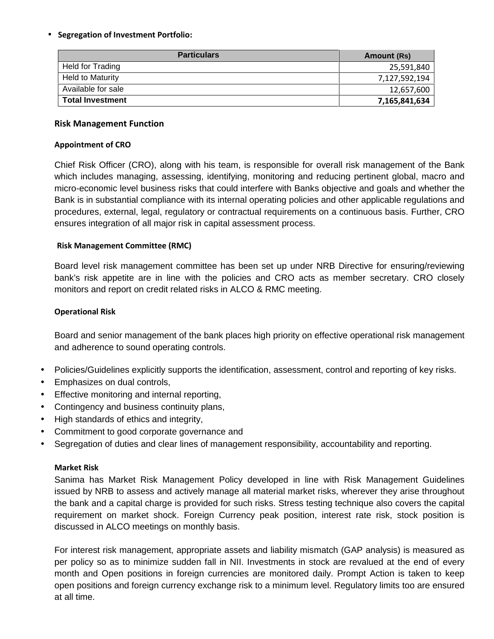### **Segregation of Investment Portfolio:**

| <b>Particulars</b>      | Amount (Rs)   |
|-------------------------|---------------|
| Held for Trading        | 25,591,840    |
| <b>Held to Maturity</b> | 7,127,592,194 |
| Available for sale      | 12,657,600    |
| <b>Total Investment</b> | 7,165,841,634 |

#### **Risk Management Function**

#### **Appointment of CRO**

Chief Risk Officer (CRO), along with his team, is responsible for overall risk management of the Bank which includes managing, assessing, identifying, monitoring and reducing pertinent global, macro and micro-economic level business risks that could interfere with Banks objective and goals and whether the Bank is in substantial compliance with its internal operating policies and other applicable regulations and procedures, external, legal, regulatory or contractual requirements on a continuous basis. Further, CRO ensures integration of all major risk in capital assessment process.

## **Risk Management Committee (RMC)**

Board level risk management committee has been set up under NRB Directive for ensuring/reviewing bank's risk appetite are in line with the policies and CRO acts as member secretary. CRO closely monitors and report on credit related risks in ALCO & RMC meeting.

## **Operational Risk**

Board and senior management of the bank places high priority on effective operational risk management and adherence to sound operating controls.

- Policies/Guidelines explicitly supports the identification, assessment, control and reporting of key risks.
- Emphasizes on dual controls,
- Effective monitoring and internal reporting,
- Contingency and business continuity plans,
- High standards of ethics and integrity,
- Commitment to good corporate governance and
- Segregation of duties and clear lines of management responsibility, accountability and reporting.

#### **Market Risk**

Sanima has Market Risk Management Policy developed in line with Risk Management Guidelines issued by NRB to assess and actively manage all material market risks, wherever they arise throughout the bank and a capital charge is provided for such risks. Stress testing technique also covers the capital requirement on market shock. Foreign Currency peak position, interest rate risk, stock position is discussed in ALCO meetings on monthly basis.

For interest risk management, appropriate assets and liability mismatch (GAP analysis) is measured as per policy so as to minimize sudden fall in NII. Investments in stock are revalued at the end of every month and Open positions in foreign currencies are monitored daily. Prompt Action is taken to keep open positions and foreign currency exchange risk to a minimum level. Regulatory limits too are ensured at all time.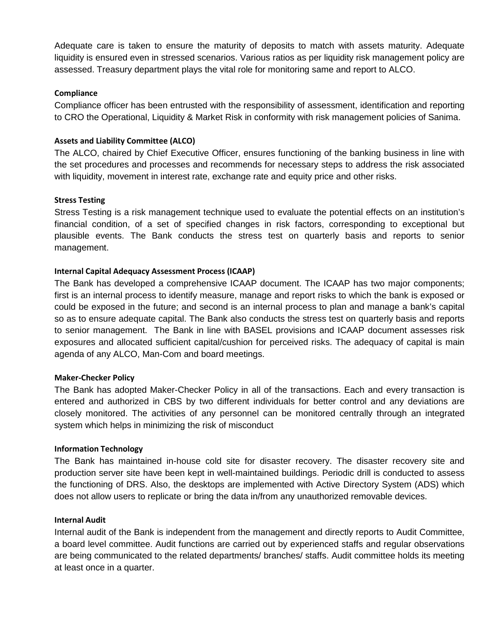Adequate care is taken to ensure the maturity of deposits to match with assets maturity. Adequate liquidity is ensured even in stressed scenarios. Various ratios as per liquidity risk management policy are assessed. Treasury department plays the vital role for monitoring same and report to ALCO.

## **Compliance**

Compliance officer has been entrusted with the responsibility of assessment, identification and reporting to CRO the Operational, Liquidity & Market Risk in conformity with risk management policies of Sanima.

## **Assets and Liability Committee (ALCO)**

The ALCO, chaired by Chief Executive Officer, ensures functioning of the banking business in line with the set procedures and processes and recommends for necessary steps to address the risk associated with liquidity, movement in interest rate, exchange rate and equity price and other risks.

#### **Stress Testing**

Stress Testing is a risk management technique used to evaluate the potential effects on an institution's financial condition, of a set of specified changes in risk factors, corresponding to exceptional but plausible events. The Bank conducts the stress test on quarterly basis and reports to senior management.

## **Internal Capital Adequacy Assessment Process (ICAAP)**

The Bank has developed a comprehensive ICAAP document. The ICAAP has two major components; first is an internal process to identify measure, manage and report risks to which the bank is exposed or could be exposed in the future; and second is an internal process to plan and manage a bank's capital so as to ensure adequate capital. The Bank also conducts the stress test on quarterly basis and reports to senior management. The Bank in line with BASEL provisions and ICAAP document assesses risk exposures and allocated sufficient capital/cushion for perceived risks. The adequacy of capital is main agenda of any ALCO, Man-Com and board meetings.

#### **Maker-Checker Policy**

The Bank has adopted Maker-Checker Policy in all of the transactions. Each and every transaction is entered and authorized in CBS by two different individuals for better control and any deviations are closely monitored. The activities of any personnel can be monitored centrally through an integrated system which helps in minimizing the risk of misconduct

#### **Information Technology**

The Bank has maintained in-house cold site for disaster recovery. The disaster recovery site and production server site have been kept in well-maintained buildings. Periodic drill is conducted to assess the functioning of DRS. Also, the desktops are implemented with Active Directory System (ADS) which does not allow users to replicate or bring the data in/from any unauthorized removable devices.

#### **Internal Audit**

Internal audit of the Bank is independent from the management and directly reports to Audit Committee, a board level committee. Audit functions are carried out by experienced staffs and regular observations are being communicated to the related departments/ branches/ staffs. Audit committee holds its meeting at least once in a quarter.